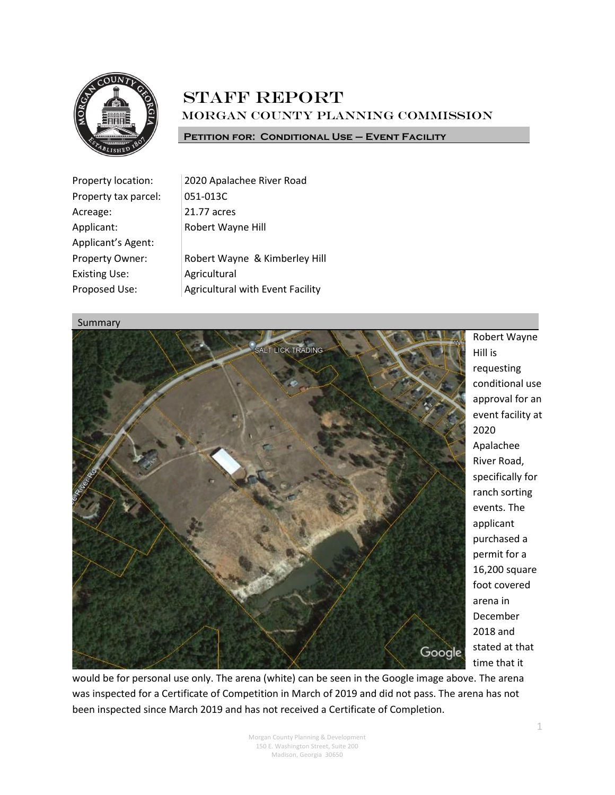

# **STAFF REPORT** Morgan County Planning Commission

#### **Petition for: Conditional Use – Event Facility**

| Property location:   | 2020 Apalachee River Road               |
|----------------------|-----------------------------------------|
| Property tax parcel: | 051-013C                                |
| Acreage:             | 21.77 acres                             |
| Applicant:           | Robert Wayne Hill                       |
| Applicant's Agent:   |                                         |
| Property Owner:      | Robert Wayne & Kimberley Hill           |
| <b>Existing Use:</b> | Agricultural                            |
| Proposed Use:        | <b>Agricultural with Event Facility</b> |

#### Summary



Robert Wayne Hill is requesting conditional use approval for an event facility at 2020 Apalachee River Road, specifically for ranch sorting events. The applicant purchased a permit for a 16,200 square foot covered arena in December 2018 and stated at that time that it

would be for personal use only. The arena (white) can be seen in the Google image above. The arena was inspected for a Certificate of Competition in March of 2019 and did not pass. The arena has not been inspected since March 2019 and has not received a Certificate of Completion.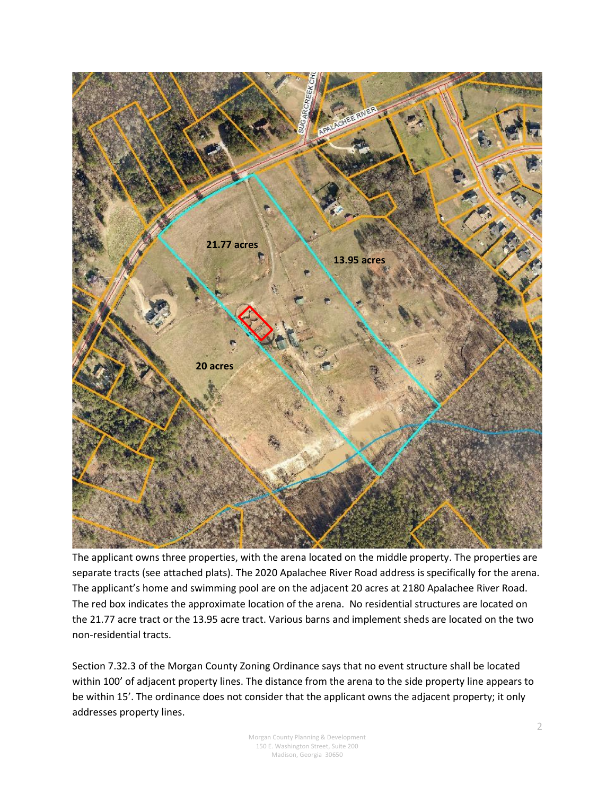

The applicant owns three properties, with the arena located on the middle property. The properties are separate tracts (see attached plats). The 2020 Apalachee River Road address is specifically for the arena. The applicant's home and swimming pool are on the adjacent 20 acres at 2180 Apalachee River Road. The red box indicates the approximate location of the arena. No residential structures are located on the 21.77 acre tract or the 13.95 acre tract. Various barns and implement sheds are located on the two non-residential tracts.

Section 7.32.3 of the Morgan County Zoning Ordinance says that no event structure shall be located within 100' of adjacent property lines. The distance from the arena to the side property line appears to be within 15'. The ordinance does not consider that the applicant owns the adjacent property; it only addresses property lines.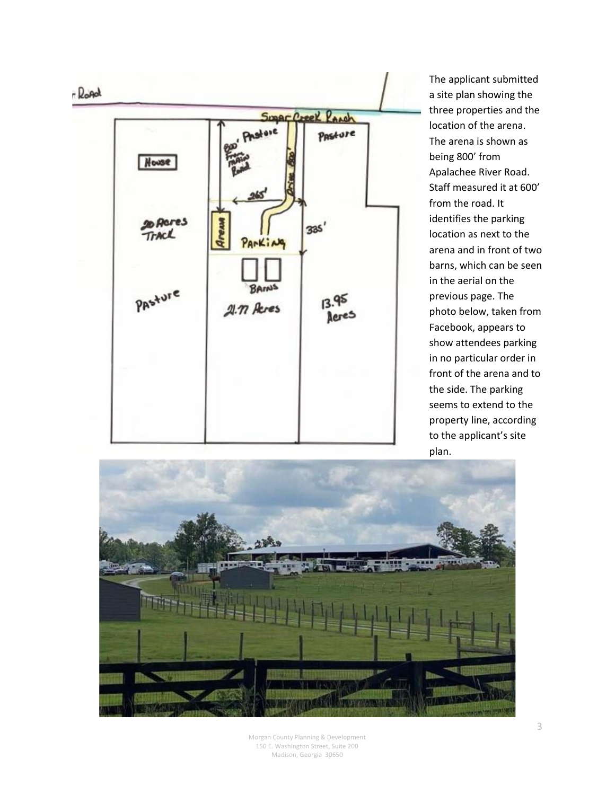

The applicant submitted a site plan showing the three properties and the location of the arena. The arena is shown as being 800' from Apalachee River Road. Staff measured it at 600' from the road. It identifies the parking location as next to the arena and in front of two barns, which can be seen in the aerial on the previous page. The photo below, taken from Facebook, appears to show attendees parking in no particular order in front of the arena and to the side. The parking seems to extend to the property line, according to the applicant's site plan.

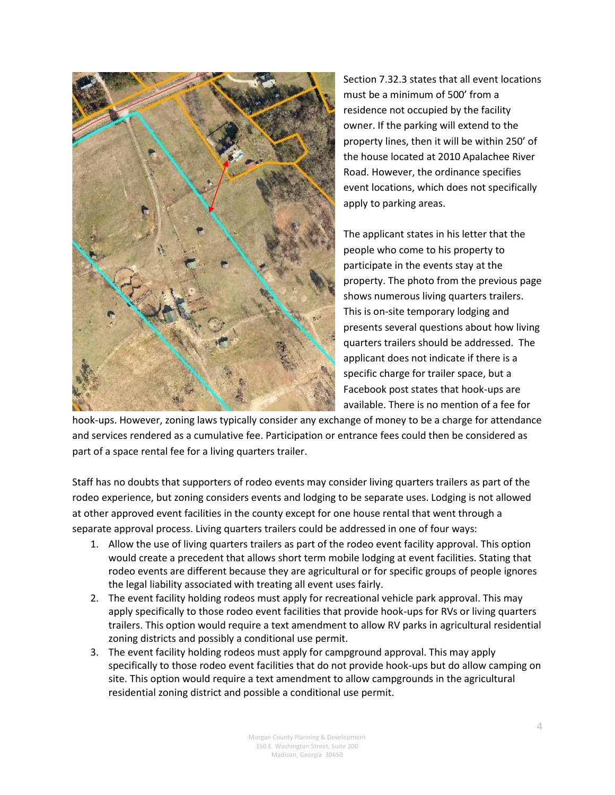

Section 7.32.3 states that all event locations must be a minimum of 500' from a residence not occupied by the facility owner. If the parking will extend to the property lines, then it will be within 250' of the house located at 2010 Apalachee River Road. However, the ordinance specifies event locations, which does not specifically apply to parking areas.

The applicant states in his letter that the people who come to his property to participate in the events stay at the property. The photo from the previous page shows numerous living quarters trailers. This is on-site temporary lodging and presents several questions about how living quarters trailers should be addressed. The applicant does not indicate if there is a specific charge for trailer space, but a Facebook post states that hook-ups are available. There is no mention of a fee for

hook-ups. However, zoning laws typically consider any exchange of money to be a charge for attendance and services rendered as a cumulative fee. Participation or entrance fees could then be considered as part of a space rental fee for a living quarters trailer.

Staff has no doubts that supporters of rodeo events may consider living quarters trailers as part of the rodeo experience, but zoning considers events and lodging to be separate uses. Lodging is not allowed at other approved event facilities in the county except for one house rental that went through a separate approval process. Living quarters trailers could be addressed in one of four ways:

- 1. Allow the use of living quarters trailers as part of the rodeo event facility approval. This option would create a precedent that allows short term mobile lodging at event facilities. Stating that rodeo events are different because they are agricultural or for specific groups of people ignores the legal liability associated with treating all event uses fairly.
- 2. The event facility holding rodeos must apply for recreational vehicle park approval. This may apply specifically to those rodeo event facilities that provide hook-ups for RVs or living quarters trailers. This option would require a text amendment to allow RV parks in agricultural residential zoning districts and possibly a conditional use permit.
- 3. The event facility holding rodeos must apply for campground approval. This may apply specifically to those rodeo event facilities that do not provide hook-ups but do allow camping on site. This option would require a text amendment to allow campgrounds in the agricultural residential zoning district and possible a conditional use permit.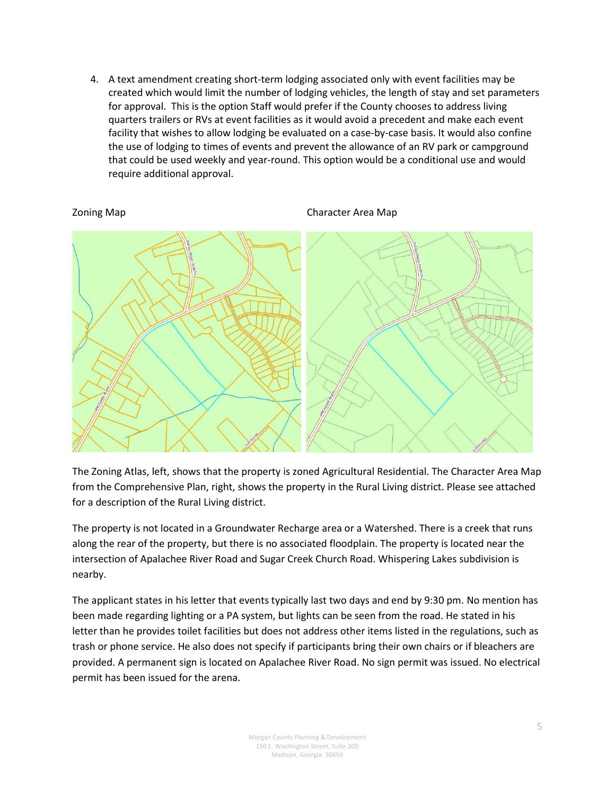4. A text amendment creating short-term lodging associated only with event facilities may be created which would limit the number of lodging vehicles, the length of stay and set parameters for approval. This is the option Staff would prefer if the County chooses to address living quarters trailers or RVs at event facilities as it would avoid a precedent and make each event facility that wishes to allow lodging be evaluated on a case-by-case basis. It would also confine the use of lodging to times of events and prevent the allowance of an RV park or campground that could be used weekly and year-round. This option would be a conditional use and would require additional approval.

Zoning Map Character Area Map



The Zoning Atlas, left, shows that the property is zoned Agricultural Residential. The Character Area Map from the Comprehensive Plan, right, shows the property in the Rural Living district. Please see attached for a description of the Rural Living district.

The property is not located in a Groundwater Recharge area or a Watershed. There is a creek that runs along the rear of the property, but there is no associated floodplain. The property is located near the intersection of Apalachee River Road and Sugar Creek Church Road. Whispering Lakes subdivision is nearby.

The applicant states in his letter that events typically last two days and end by 9:30 pm. No mention has been made regarding lighting or a PA system, but lights can be seen from the road. He stated in his letter than he provides toilet facilities but does not address other items listed in the regulations, such as trash or phone service. He also does not specify if participants bring their own chairs or if bleachers are provided. A permanent sign is located on Apalachee River Road. No sign permit was issued. No electrical permit has been issued for the arena.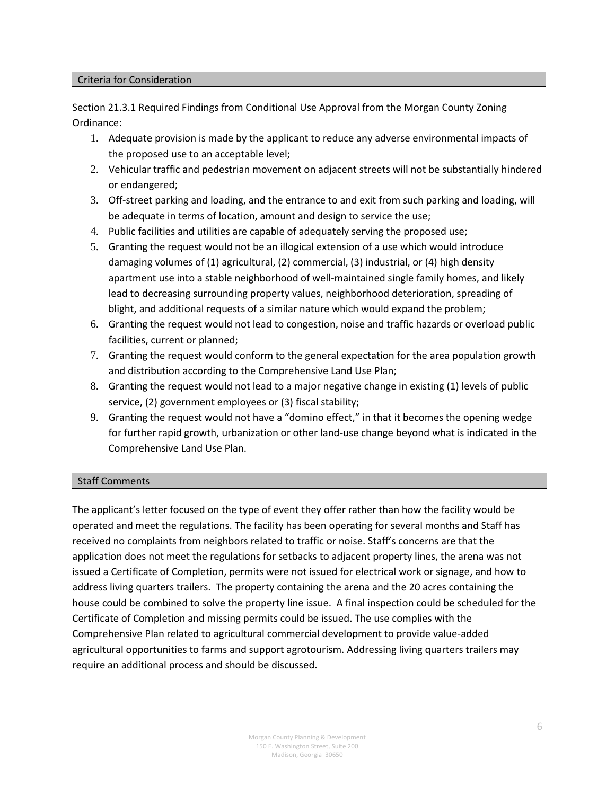#### Criteria for Consideration

Section 21.3.1 Required Findings from Conditional Use Approval from the Morgan County Zoning Ordinance:

- 1. Adequate provision is made by the applicant to reduce any adverse environmental impacts of the proposed use to an acceptable level;
- 2. Vehicular traffic and pedestrian movement on adjacent streets will not be substantially hindered or endangered;
- 3. Off-street parking and loading, and the entrance to and exit from such parking and loading, will be adequate in terms of location, amount and design to service the use;
- 4. Public facilities and utilities are capable of adequately serving the proposed use;
- 5. Granting the request would not be an illogical extension of a use which would introduce damaging volumes of (1) agricultural, (2) commercial, (3) industrial, or (4) high density apartment use into a stable neighborhood of well-maintained single family homes, and likely lead to decreasing surrounding property values, neighborhood deterioration, spreading of blight, and additional requests of a similar nature which would expand the problem;
- 6. Granting the request would not lead to congestion, noise and traffic hazards or overload public facilities, current or planned;
- 7. Granting the request would conform to the general expectation for the area population growth and distribution according to the Comprehensive Land Use Plan;
- 8. Granting the request would not lead to a major negative change in existing (1) levels of public service, (2) government employees or (3) fiscal stability;
- 9. Granting the request would not have a "domino effect," in that it becomes the opening wedge for further rapid growth, urbanization or other land-use change beyond what is indicated in the Comprehensive Land Use Plan.

## Staff Comments

The applicant's letter focused on the type of event they offer rather than how the facility would be operated and meet the regulations. The facility has been operating for several months and Staff has received no complaints from neighbors related to traffic or noise. Staff's concerns are that the application does not meet the regulations for setbacks to adjacent property lines, the arena was not issued a Certificate of Completion, permits were not issued for electrical work or signage, and how to address living quarters trailers. The property containing the arena and the 20 acres containing the house could be combined to solve the property line issue. A final inspection could be scheduled for the Certificate of Completion and missing permits could be issued. The use complies with the Comprehensive Plan related to agricultural commercial development to provide value-added agricultural opportunities to farms and support agrotourism. Addressing living quarters trailers may require an additional process and should be discussed.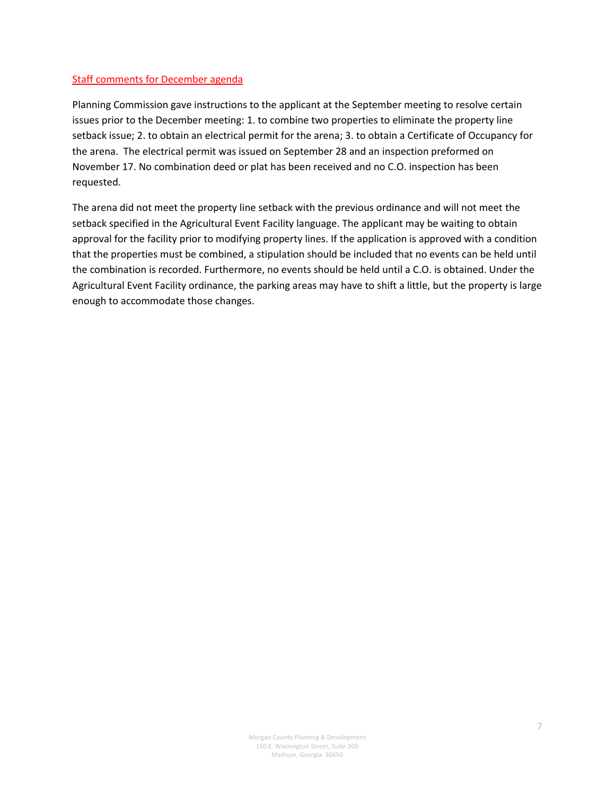## Staff comments for December agenda

Planning Commission gave instructions to the applicant at the September meeting to resolve certain issues prior to the December meeting: 1. to combine two properties to eliminate the property line setback issue; 2. to obtain an electrical permit for the arena; 3. to obtain a Certificate of Occupancy for the arena. The electrical permit was issued on September 28 and an inspection preformed on November 17. No combination deed or plat has been received and no C.O. inspection has been requested.

The arena did not meet the property line setback with the previous ordinance and will not meet the setback specified in the Agricultural Event Facility language. The applicant may be waiting to obtain approval for the facility prior to modifying property lines. If the application is approved with a condition that the properties must be combined, a stipulation should be included that no events can be held until the combination is recorded. Furthermore, no events should be held until a C.O. is obtained. Under the Agricultural Event Facility ordinance, the parking areas may have to shift a little, but the property is large enough to accommodate those changes.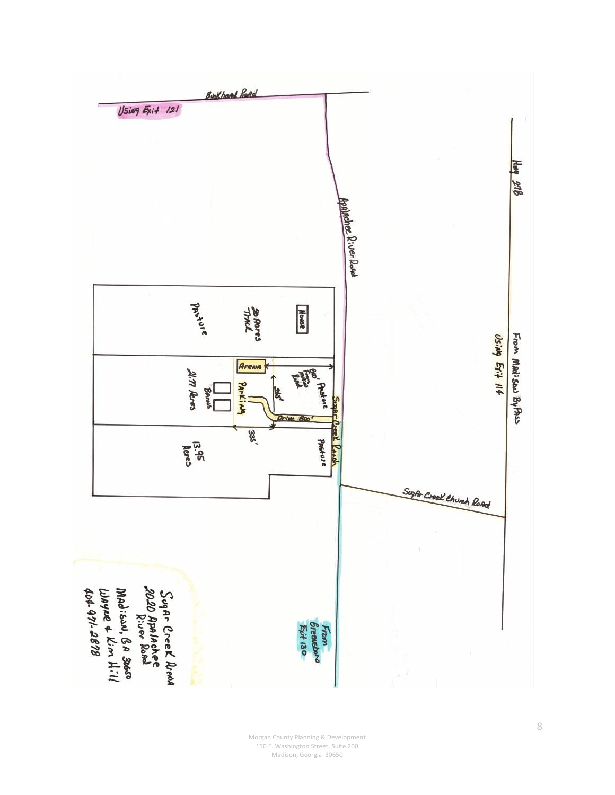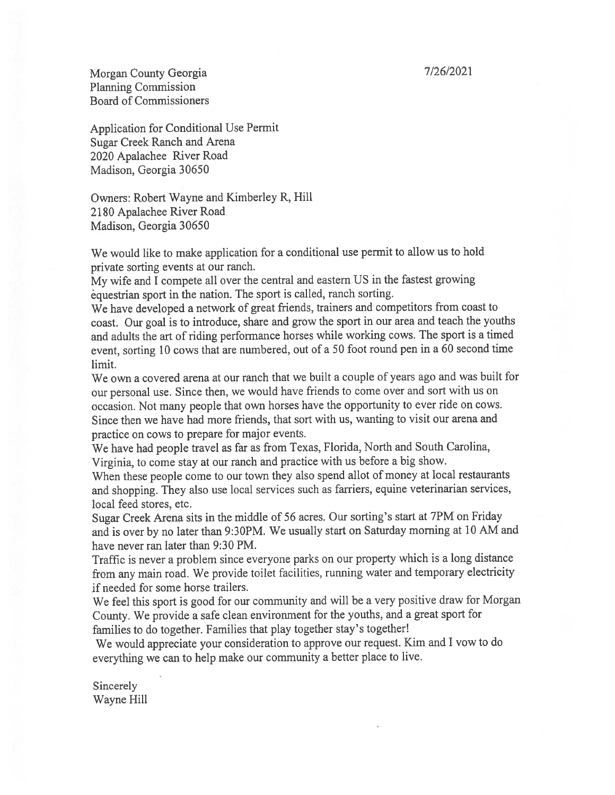7/26/2021

Morgan County Georgia **Planning Commission Board of Commissioners** 

Application for Conditional Use Permit Sugar Creek Ranch and Arena 2020 Apalachee River Road Madison, Georgia 30650

Owners: Robert Wayne and Kimberley R, Hill 2180 Apalachee River Road Madison, Georgia 30650

We would like to make application for a conditional use permit to allow us to hold private sorting events at our ranch.

My wife and I compete all over the central and eastern US in the fastest growing equestrian sport in the nation. The sport is called, ranch sorting.

We have developed a network of great friends, trainers and competitors from coast to coast. Our goal is to introduce, share and grow the sport in our area and teach the youths and adults the art of riding performance horses while working cows. The sport is a timed event, sorting 10 cows that are numbered, out of a 50 foot round pen in a 60 second time limit.

We own a covered arena at our ranch that we built a couple of years ago and was built for our personal use. Since then, we would have friends to come over and sort with us on occasion. Not many people that own horses have the opportunity to ever ride on cows. Since then we have had more friends, that sort with us, wanting to visit our arena and practice on cows to prepare for major events.

We have had people travel as far as from Texas, Florida, North and South Carolina, Virginia, to come stay at our ranch and practice with us before a big show.

When these people come to our town they also spend allot of money at local restaurants and shopping. They also use local services such as farriers, equine veterinarian services, local feed stores, etc.

Sugar Creek Arena sits in the middle of 56 acres. Our sorting's start at 7PM on Friday and is over by no later than 9:30PM. We usually start on Saturday morning at 10 AM and have never ran later than 9:30 PM.

Traffic is never a problem since everyone parks on our property which is a long distance from any main road. We provide toilet facilities, running water and temporary electricity if needed for some horse trailers.

We feel this sport is good for our community and will be a very positive draw for Morgan County. We provide a safe clean environment for the youths, and a great sport for families to do together. Families that play together stay's together!

We would appreciate your consideration to approve our request. Kim and I vow to do everything we can to help make our community a better place to live.

Sincerely Wayne Hill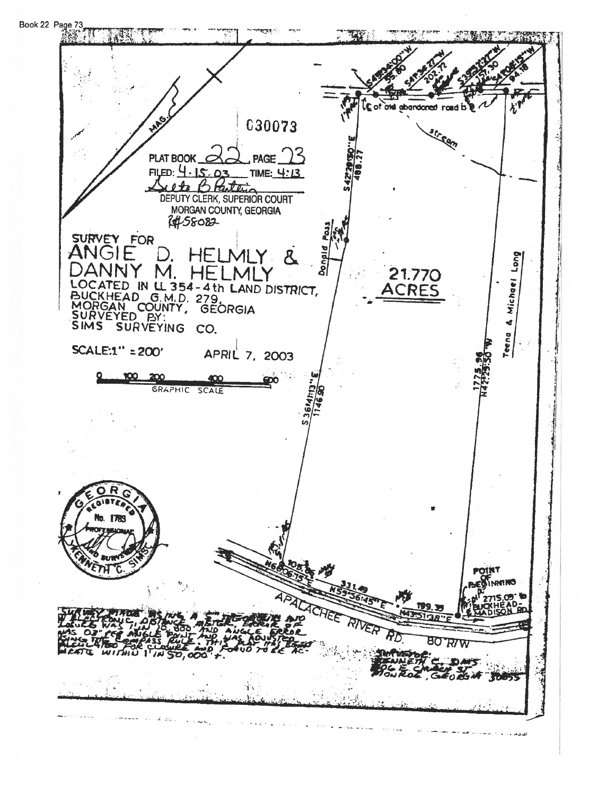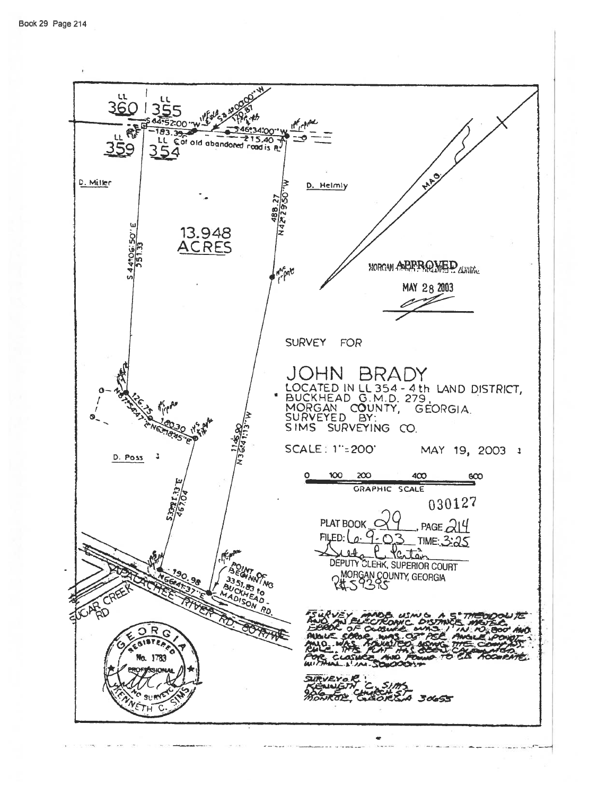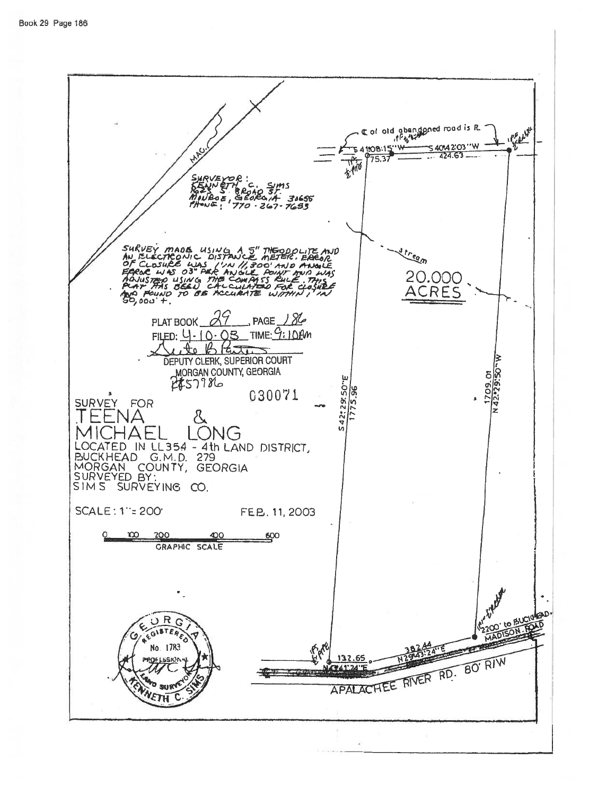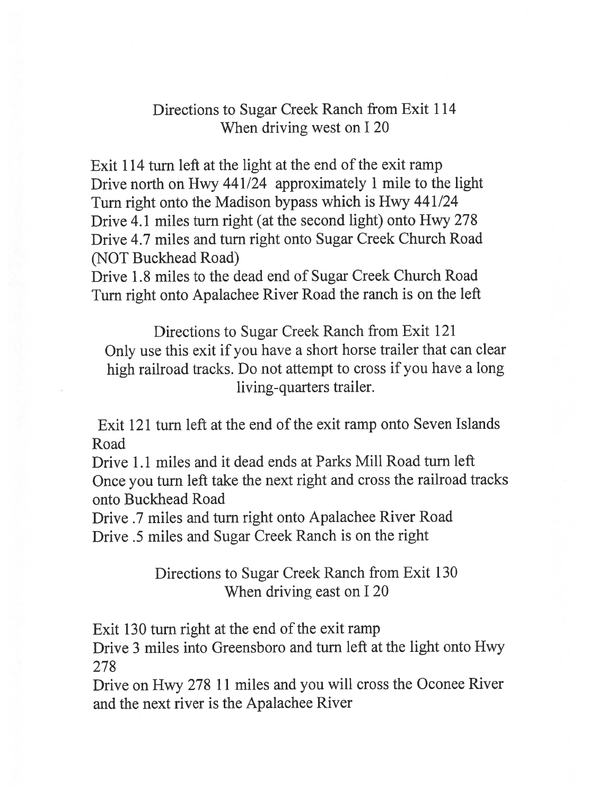## Directions to Sugar Creek Ranch from Exit 114 When driving west on I 20

Exit 114 turn left at the light at the end of the exit ramp Drive north on Hwy 441/24 approximately 1 mile to the light Turn right onto the Madison bypass which is Hwy 441/24 Drive 4.1 miles turn right (at the second light) onto Hwy 278 Drive 4.7 miles and turn right onto Sugar Creek Church Road (NOT Buckhead Road)

Drive 1.8 miles to the dead end of Sugar Creek Church Road Turn right onto Apalachee River Road the ranch is on the left

Directions to Sugar Creek Ranch from Exit 121 Only use this exit if you have a short horse trailer that can clear high railroad tracks. Do not attempt to cross if you have a long living-quarters trailer.

Exit 121 turn left at the end of the exit ramp onto Seven Islands Road

Drive 1.1 miles and it dead ends at Parks Mill Road turn left Once you turn left take the next right and cross the railroad tracks onto Buckhead Road

Drive .7 miles and turn right onto Apalachee River Road Drive .5 miles and Sugar Creek Ranch is on the right

> Directions to Sugar Creek Ranch from Exit 130 When driving east on I 20

Exit 130 turn right at the end of the exit ramp

Drive 3 miles into Greensboro and turn left at the light onto Hwy 278

Drive on Hwy 278 11 miles and you will cross the Oconee River and the next river is the Apalachee River